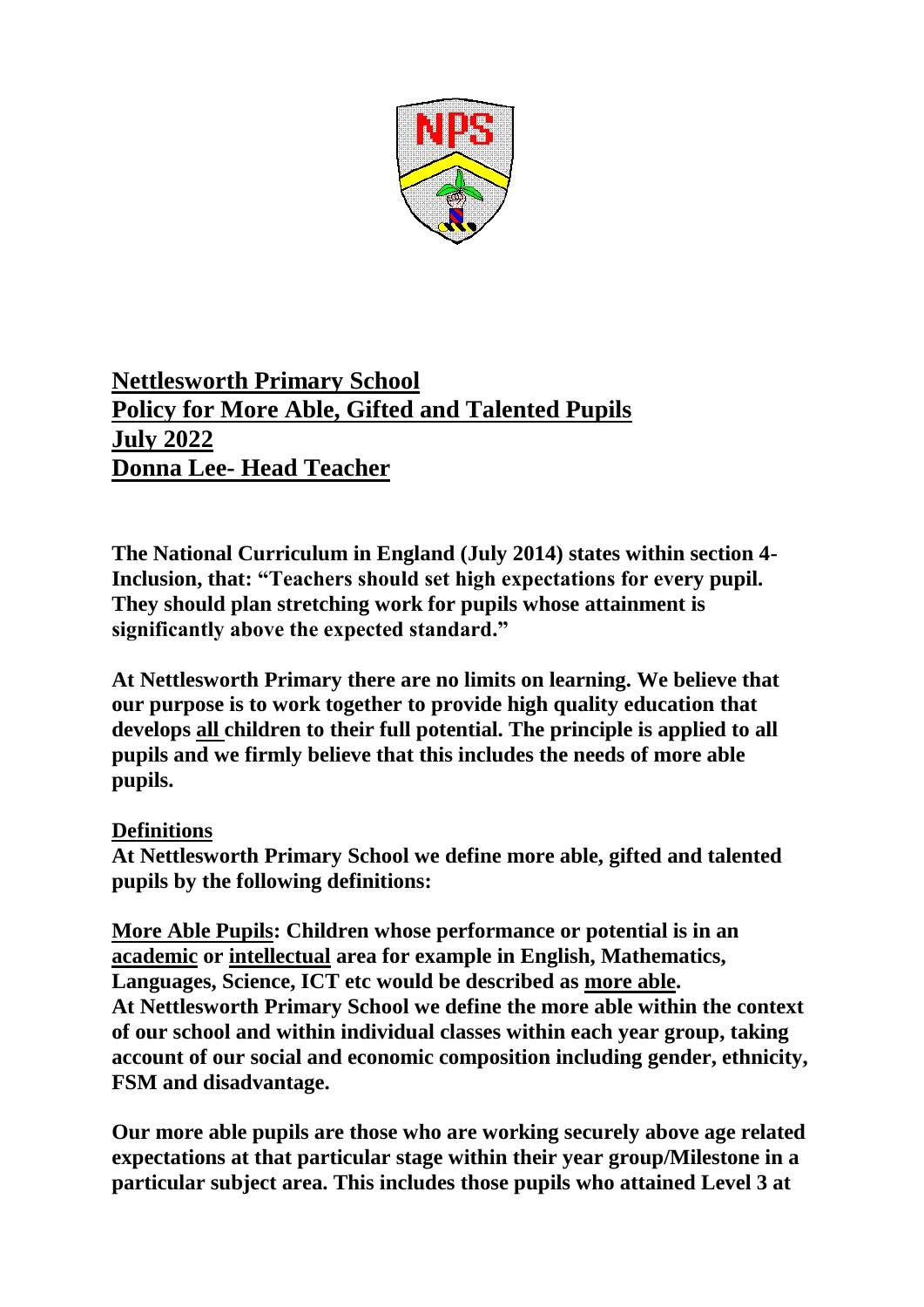

# **Nettlesworth Primary School Policy for More Able, Gifted and Talented Pupils July 2022 Donna Lee- Head Teacher**

**The National Curriculum in England (July 2014) states within section 4- Inclusion, that: "Teachers should set high expectations for every pupil. They should plan stretching work for pupils whose attainment is significantly above the expected standard."**

**At Nettlesworth Primary there are no limits on learning. We believe that our purpose is to work together to provide high quality education that develops all children to their full potential. The principle is applied to all pupils and we firmly believe that this includes the needs of more able pupils.**

# **Definitions**

**At Nettlesworth Primary School we define more able, gifted and talented pupils by the following definitions:**

**More Able Pupils: Children whose performance or potential is in an academic or intellectual area for example in English, Mathematics, Languages, Science, ICT etc would be described as more able. At Nettlesworth Primary School we define the more able within the context of our school and within individual classes within each year group, taking account of our social and economic composition including gender, ethnicity, FSM and disadvantage.**

**Our more able pupils are those who are working securely above age related expectations at that particular stage within their year group/Milestone in a particular subject area. This includes those pupils who attained Level 3 at**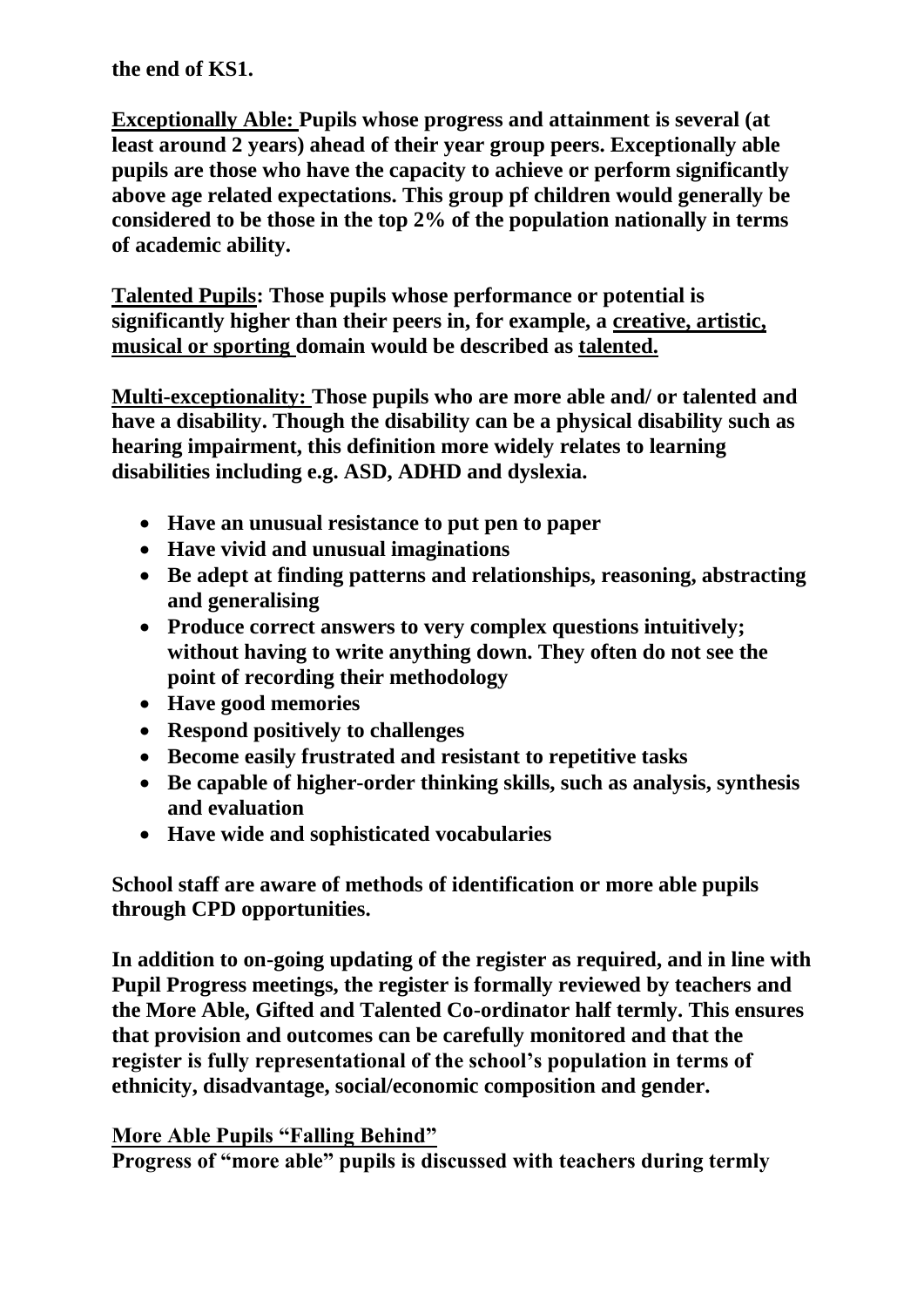**the end of KS1.**

**Exceptionally Able: Pupils whose progress and attainment is several (at least around 2 years) ahead of their year group peers. Exceptionally able pupils are those who have the capacity to achieve or perform significantly above age related expectations. This group pf children would generally be considered to be those in the top 2% of the population nationally in terms of academic ability.**

**Talented Pupils: Those pupils whose performance or potential is significantly higher than their peers in, for example, a creative, artistic, musical or sporting domain would be described as talented.**

**Multi-exceptionality: Those pupils who are more able and/ or talented and have a disability. Though the disability can be a physical disability such as hearing impairment, this definition more widely relates to learning disabilities including e.g. ASD, ADHD and dyslexia.**

- **Have an unusual resistance to put pen to paper**
- **Have vivid and unusual imaginations**
- **Be adept at finding patterns and relationships, reasoning, abstracting and generalising**
- **Produce correct answers to very complex questions intuitively; without having to write anything down. They often do not see the point of recording their methodology**
- **Have good memories**
- **Respond positively to challenges**
- **Become easily frustrated and resistant to repetitive tasks**
- **Be capable of higher-order thinking skills, such as analysis, synthesis and evaluation**
- **Have wide and sophisticated vocabularies**

**School staff are aware of methods of identification or more able pupils through CPD opportunities.**

**In addition to on-going updating of the register as required, and in line with Pupil Progress meetings, the register is formally reviewed by teachers and the More Able, Gifted and Talented Co-ordinator half termly. This ensures that provision and outcomes can be carefully monitored and that the register is fully representational of the school's population in terms of ethnicity, disadvantage, social/economic composition and gender.**

# **More Able Pupils "Falling Behind"**

**Progress of "more able" pupils is discussed with teachers during termly**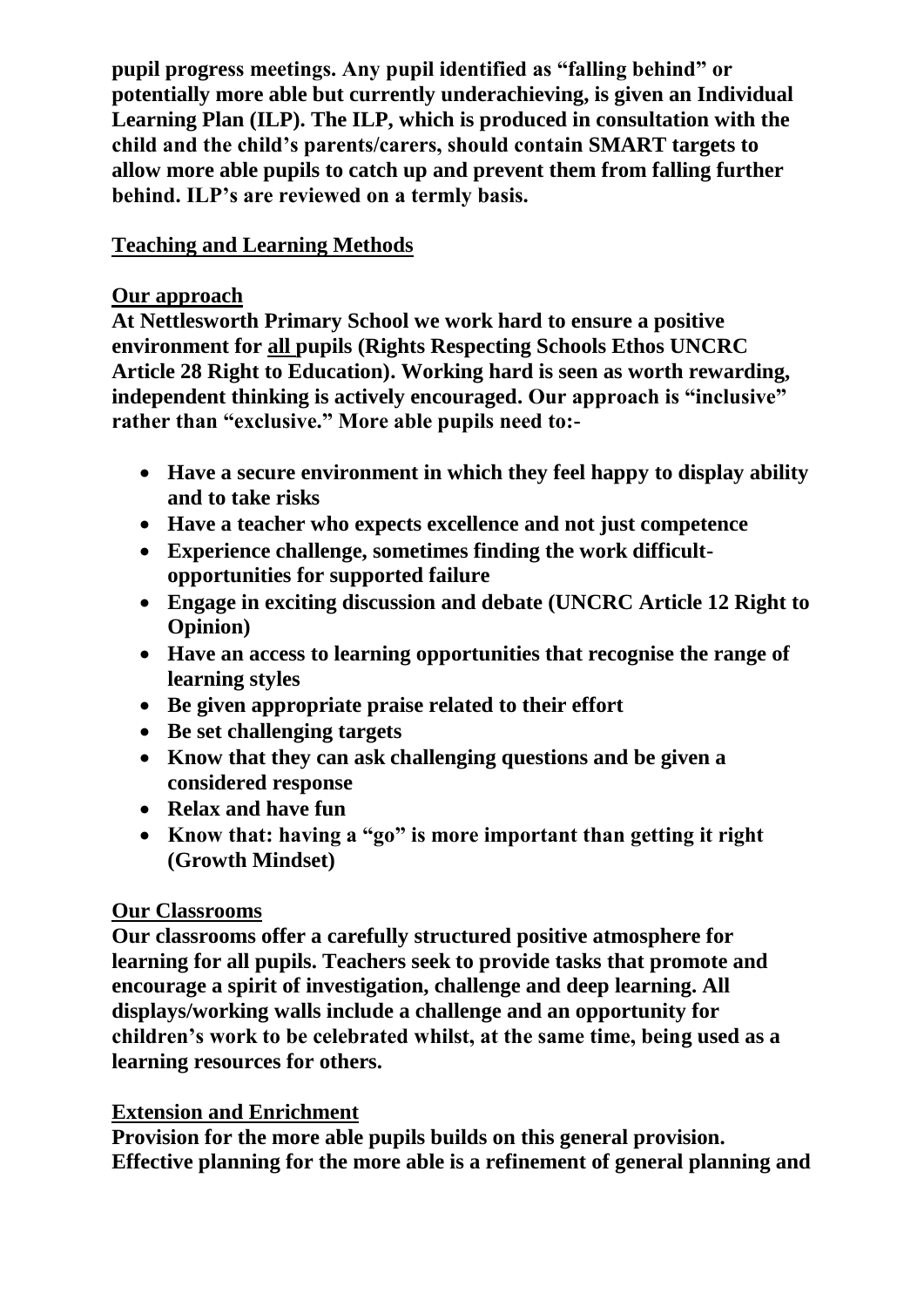**pupil progress meetings. Any pupil identified as "falling behind" or potentially more able but currently underachieving, is given an Individual Learning Plan (ILP). The ILP, which is produced in consultation with the child and the child's parents/carers, should contain SMART targets to allow more able pupils to catch up and prevent them from falling further behind. ILP's are reviewed on a termly basis.**

# **Teaching and Learning Methods**

### **Our approach**

**At Nettlesworth Primary School we work hard to ensure a positive environment for all pupils (Rights Respecting Schools Ethos UNCRC Article 28 Right to Education). Working hard is seen as worth rewarding, independent thinking is actively encouraged. Our approach is "inclusive" rather than "exclusive." More able pupils need to:-**

- **Have a secure environment in which they feel happy to display ability and to take risks**
- **Have a teacher who expects excellence and not just competence**
- **Experience challenge, sometimes finding the work difficultopportunities for supported failure**
- **Engage in exciting discussion and debate (UNCRC Article 12 Right to Opinion)**
- **Have an access to learning opportunities that recognise the range of learning styles**
- **Be given appropriate praise related to their effort**
- **Be set challenging targets**
- **Know that they can ask challenging questions and be given a considered response**
- **Relax and have fun**
- **Know that: having a "go" is more important than getting it right (Growth Mindset)**

# **Our Classrooms**

**Our classrooms offer a carefully structured positive atmosphere for learning for all pupils. Teachers seek to provide tasks that promote and encourage a spirit of investigation, challenge and deep learning. All displays/working walls include a challenge and an opportunity for children's work to be celebrated whilst, at the same time, being used as a learning resources for others.**

# **Extension and Enrichment**

**Provision for the more able pupils builds on this general provision. Effective planning for the more able is a refinement of general planning and**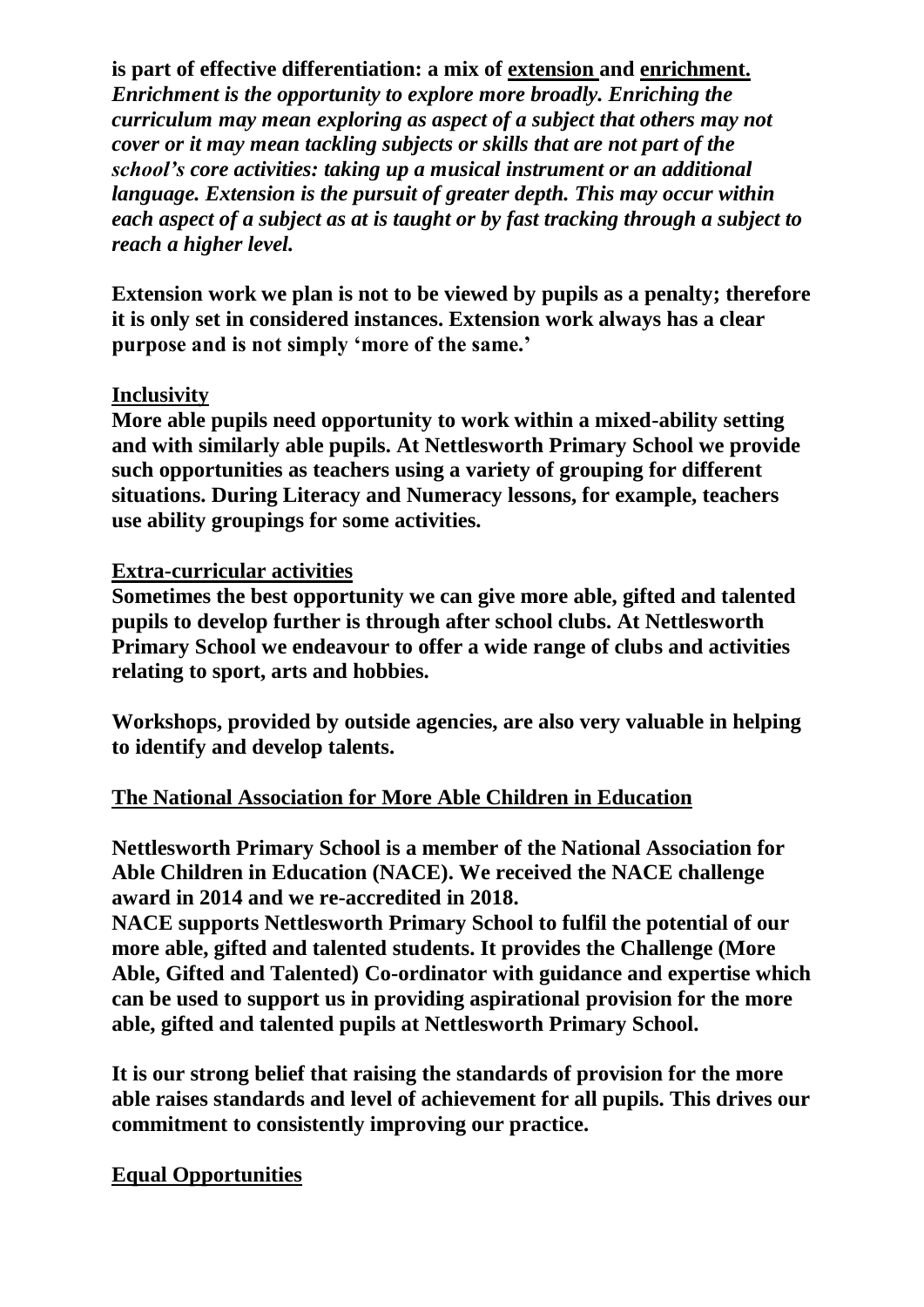### **is part of effective differentiation: a mix of extension and enrichment.**

*Enrichment is the opportunity to explore more broadly. Enriching the curriculum may mean exploring as aspect of a subject that others may not cover or it may mean tackling subjects or skills that are not part of the school's core activities: taking up a musical instrument or an additional language. Extension is the pursuit of greater depth. This may occur within each aspect of a subject as at is taught or by fast tracking through a subject to reach a higher level.*

**Extension work we plan is not to be viewed by pupils as a penalty; therefore it is only set in considered instances. Extension work always has a clear purpose and is not simply 'more of the same.'**

### **Inclusivity**

**More able pupils need opportunity to work within a mixed-ability setting and with similarly able pupils. At Nettlesworth Primary School we provide such opportunities as teachers using a variety of grouping for different situations. During Literacy and Numeracy lessons, for example, teachers use ability groupings for some activities.**

#### **Extra-curricular activities**

**Sometimes the best opportunity we can give more able, gifted and talented pupils to develop further is through after school clubs. At Nettlesworth Primary School we endeavour to offer a wide range of clubs and activities relating to sport, arts and hobbies.**

**Workshops, provided by outside agencies, are also very valuable in helping to identify and develop talents.**

### **The National Association for More Able Children in Education**

**Nettlesworth Primary School is a member of the National Association for Able Children in Education (NACE). We received the NACE challenge award in 2014 and we re-accredited in 2018.**

**NACE supports Nettlesworth Primary School to fulfil the potential of our more able, gifted and talented students. It provides the Challenge (More Able, Gifted and Talented) Co-ordinator with guidance and expertise which can be used to support us in providing aspirational provision for the more able, gifted and talented pupils at Nettlesworth Primary School.**

**It is our strong belief that raising the standards of provision for the more able raises standards and level of achievement for all pupils. This drives our commitment to consistently improving our practice.**

### **Equal Opportunities**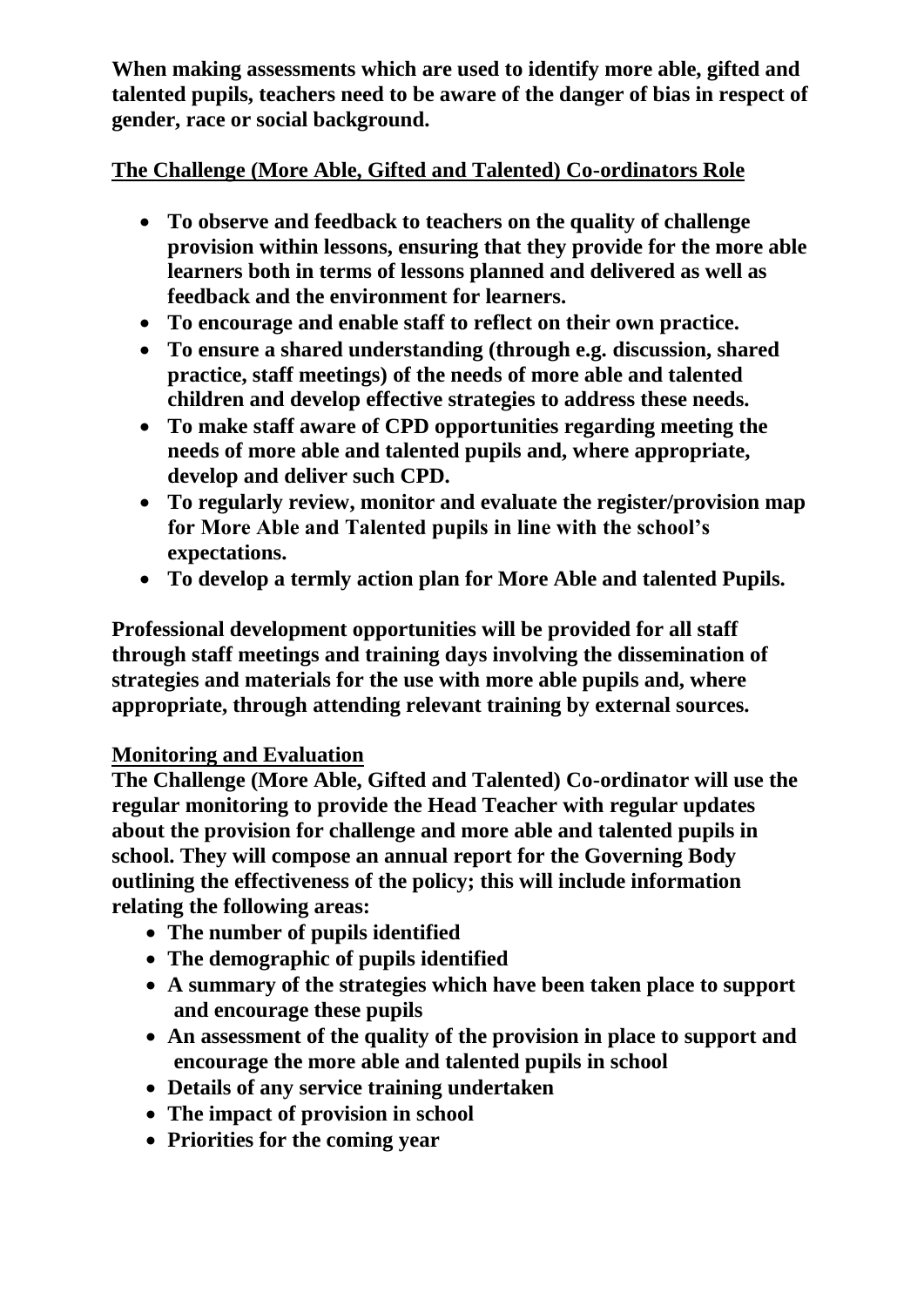**When making assessments which are used to identify more able, gifted and talented pupils, teachers need to be aware of the danger of bias in respect of gender, race or social background.**

# **The Challenge (More Able, Gifted and Talented) Co-ordinators Role**

- **To observe and feedback to teachers on the quality of challenge provision within lessons, ensuring that they provide for the more able learners both in terms of lessons planned and delivered as well as feedback and the environment for learners.**
- **To encourage and enable staff to reflect on their own practice.**
- **To ensure a shared understanding (through e.g. discussion, shared practice, staff meetings) of the needs of more able and talented children and develop effective strategies to address these needs.**
- **To make staff aware of CPD opportunities regarding meeting the needs of more able and talented pupils and, where appropriate, develop and deliver such CPD.**
- **To regularly review, monitor and evaluate the register/provision map for More Able and Talented pupils in line with the school's expectations.**
- **To develop a termly action plan for More Able and talented Pupils.**

**Professional development opportunities will be provided for all staff through staff meetings and training days involving the dissemination of strategies and materials for the use with more able pupils and, where appropriate, through attending relevant training by external sources.**

# **Monitoring and Evaluation**

**The Challenge (More Able, Gifted and Talented) Co-ordinator will use the regular monitoring to provide the Head Teacher with regular updates about the provision for challenge and more able and talented pupils in school. They will compose an annual report for the Governing Body outlining the effectiveness of the policy; this will include information relating the following areas:**

- **The number of pupils identified**
- **The demographic of pupils identified**
- **A summary of the strategies which have been taken place to support and encourage these pupils**
- **An assessment of the quality of the provision in place to support and encourage the more able and talented pupils in school**
- **Details of any service training undertaken**
- **The impact of provision in school**
- **Priorities for the coming year**